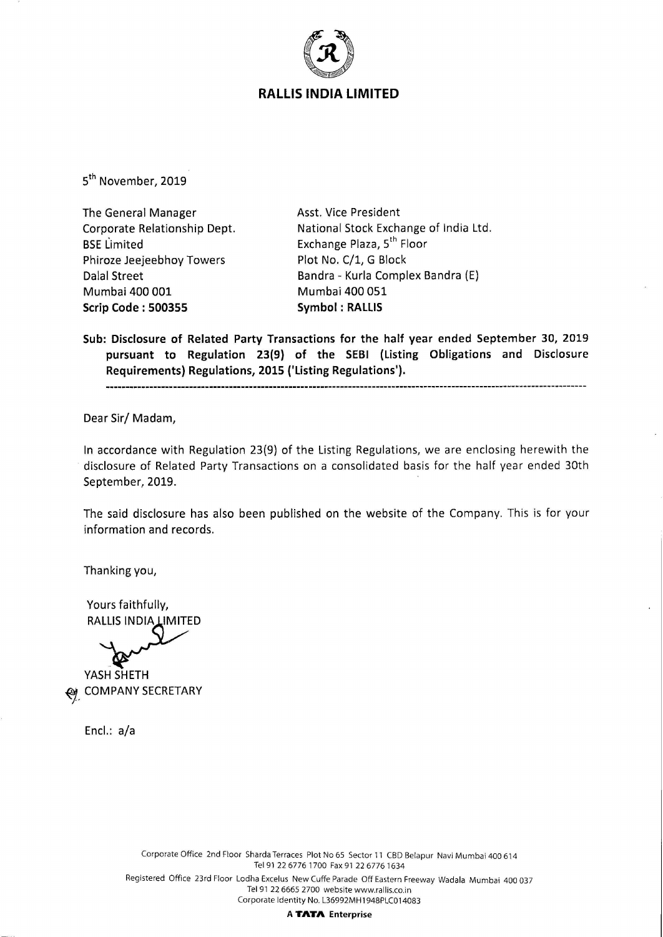

5<sup>th</sup> November, 2019

The General Manager Corporate Relationship Dept. BSE Limited Phiroze Jeejeebhoy Towers Dalal Street Mumbai 400 001 **Scrip Code : 500355** 

Asst. Vice President National Stock Exchange of India Ltd. Exchange Plaza, 5<sup>th</sup> Floor Plot No. C/1, G Block Bandra - Kurla Complex Bandra (E) Mumbai 400 051 **Symbol : RALLIS** 

**Sub: Disclosure of Related Party Transactions for the half year ended September 30, 2019 pursuant to Regulation 23(9) of the SEBI (Listing Obligations and Disclosure Requirements) Regulations, 2015 ('Listing Regulations').** 

Dear Sir/ Madam,

In accordance with Regulation 23(9) of the Listing Regulations, we are enclosing herewith the disclosure of Related Party Transactions on a consolidated basis for the half year ended 30th September, 2019.

The said disclosure has also been published on the website of the Company. This is for your information and records.

Thanking you,

Yours faithfully, **RALLIS INDIA LIMITED** 

**YASH SHETH ~- COMPANY SECRETARY** 

Encl.: a/a

Corporate Office 2nd Floor Sharda Terraces Plot No 65 Sector 11 CBD Belapur Navi Mumbai 400 614 Tel 91 22 6776 1700 Fax 91 22 6776 1634 Registered Office 23rd Floor Lodha Excelus New Cuffe Parade Off Eastern Freeway Wadala Mumbai 400 037 Tel 91 22 6665 2700 website www.rallis.co.in Corporate Identity No. L36992MH1948PLC014083

**A TATA Enterprise**